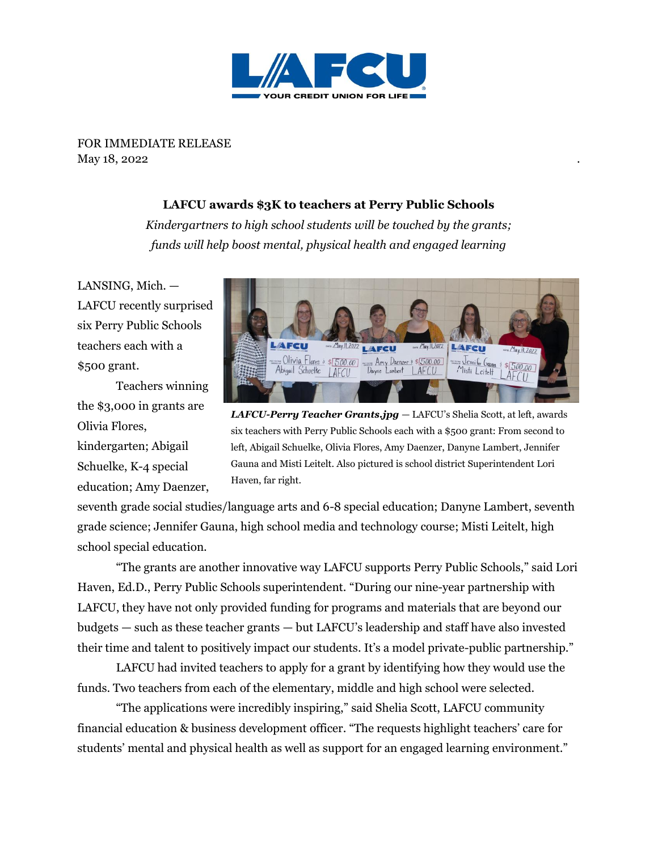

FOR IMMEDIATE RELEASE May 18, 2022

## **LAFCU awards \$3K to teachers at Perry Public Schools**

*Kindergartners to high school students will be touched by the grants; funds will help boost mental, physical health and engaged learning*

LANSING, Mich. — LAFCU recently surprised six Perry Public Schools teachers each with a \$500 grant.

Teachers winning the \$3,000 in grants are Olivia Flores, kindergarten; Abigail Schuelke, K-4 special education; Amy Daenzer,



*LAFCU-Perry Teacher Grants.jpg* — LAFCU's Shelia Scott, at left, awards six teachers with Perry Public Schools each with a \$500 grant: From second to left, Abigail Schuelke, Olivia Flores, Amy Daenzer, Danyne Lambert, Jennifer Gauna and Misti Leitelt. Also pictured is school district Superintendent Lori Haven, far right.

seventh grade social studies/language arts and 6-8 special education; Danyne Lambert, seventh grade science; Jennifer Gauna, high school media and technology course; Misti Leitelt, high school special education.

"The grants are another innovative way LAFCU supports Perry Public Schools," said Lori Haven, Ed.D., Perry Public Schools superintendent. "During our nine-year partnership with LAFCU, they have not only provided funding for programs and materials that are beyond our budgets — such as these teacher grants — but LAFCU's leadership and staff have also invested their time and talent to positively impact our students. It's a model private-public partnership."

LAFCU had invited teachers to apply for a grant by identifying how they would use the funds. Two teachers from each of the elementary, middle and high school were selected.

"The applications were incredibly inspiring," said Shelia Scott, LAFCU community financial education & business development officer. "The requests highlight teachers' care for students' mental and physical health as well as support for an engaged learning environment."